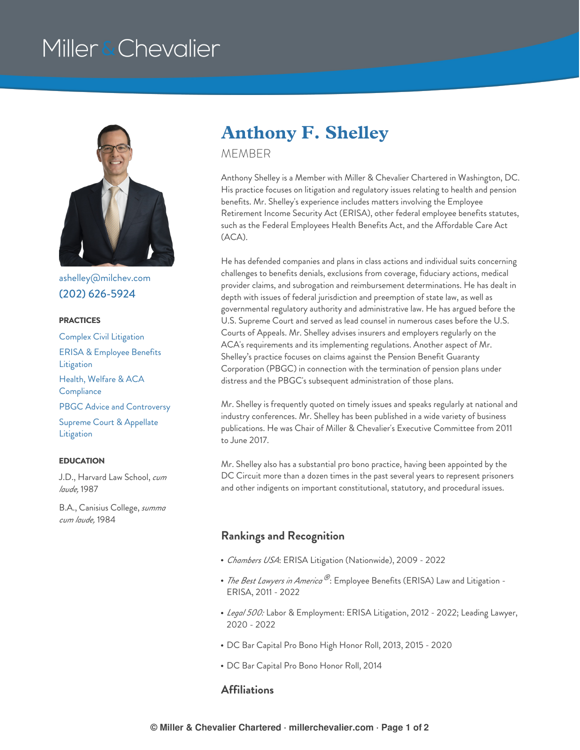# Miller & Chevalier



[ashelley@milchev.com](mailto:ashelley@milchev.com) (202) [626-5924](tel:202-626-5924)

#### **PRACTICES**

Complex Civil [Litigation](https://www.millerchevalier.com/practice-area/complex-civil-litigation) ERISA & [Employee](https://www.millerchevalier.com/practice-area/erisa-employee-benefits-litigation) Benefits **Litigation** Health, Welfare & ACA **[Compliance](https://www.millerchevalier.com/practice-area/health-welfare-aca-compliance)** PBGC Advice and [Controversy](https://www.millerchevalier.com/practice-area/pbgc-advice-and-controversy) Supreme Court & [Appellate](https://www.millerchevalier.com/practice-area/supreme-court-appellate-litigation) Litigation

#### **EDUCATION**

J.D., Harvard Law School, *cum laude,* 1987

B.A., Canisius College, *summa cum laude,* 1984

# **Anthony F. Shelley**

MEMBER

Anthony Shelley is a Member with Miller & Chevalier Chartered in Washington, DC. His practice focuses on litigation and regulatory issues relating to health and pension benefits. Mr. Shelley's experience includes matters involving the Employee Retirement Income Security Act (ERISA), other federal employee benefits statutes, such as the Federal Employees Health Benefits Act, and the Affordable Care Act (ACA).

He has defended companies and plans in class actions and individual suits concerning challenges to benefits denials, exclusions from coverage, fiduciary actions, medical provider claims, and subrogation and reimbursement determinations. He has dealt in depth with issues of federal jurisdiction and preemption of state law, as well as governmental regulatory authority and administrative law. He has argued before the U.S. Supreme Court and served as lead counsel in numerous cases before the U.S. Courts of Appeals. Mr. Shelley advises insurers and employers regularly on the ACA's requirements and its implementing regulations. Another aspect of Mr. Shelley's practice focuses on claims against the Pension Benefit Guaranty Corporation (PBGC) in connection with the termination of pension plans under distress and the PBGC's subsequent administration of those plans.

Mr. Shelley is frequently quoted on timely issues and speaks regularly at national and industry conferences. Mr. Shelley has been published in a wide variety of business publications. He was Chair of Miller & Chevalier's Executive Committee from 2011 to June 2017.

Mr. Shelley also has a substantial pro bono practice, having been appointed by the DC Circuit more than a dozen times in the past several years to represent prisoners and other indigents on important constitutional, statutory, and procedural issues.

### **Rankings and Recognition**

- *Chambers USA*: ERISA Litigation (Nationwide), 2009 2022
- *The Best Lawyers in America*  $^\circledP$ : Employee Benefits (ERISA) Law and Litigation -ERISA, 2011 - 2022
- *Legal 500:* Labor & Employment: ERISA Litigation, 2012 2022; Leading Lawyer, 2020 - 2022
- DC Bar Capital Pro Bono High Honor Roll, 2013, 2015 2020
- DC Bar Capital Pro Bono Honor Roll, 2014

## **Affiliations**